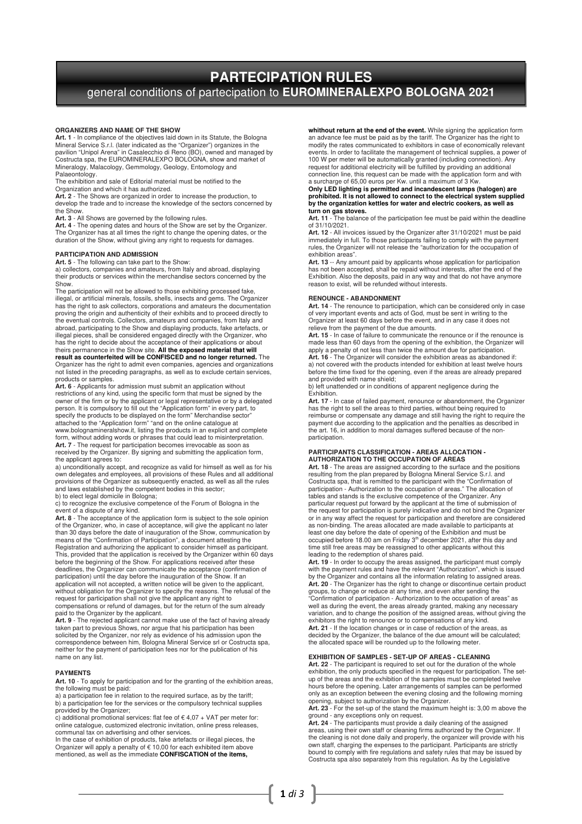# **PARTECIPATION RULES**  general conditions of partecipation to **EUROMINERALEXPO BOLOGNA 2021**

#### **ORGANIZERS AND NAME OF THE SHOW**

**Art. 1** - In compliance of the objectives laid down in its Statute, the Bologna Mineral Service S.r.l. (later indicated as the "Organizer") organizes in the pavilion "Unipol Arena" in Casalecchio di Reno (BO), owned and managed by Costructa spa, the EUROMINERALEXPO BOLOGNA, show and market of Mineralogy, Malacology, Gemmology, Geology, Entomology and Mineralogy, Malacology, Gemmology, Geology, Entomology and<br>Palaeontology.<br>The exhibition and sale of Editorial material must be notified to the

Organization and which it has authorized.

**Art. 2** - The Shows are organized in order to increase the production, to develop the trade and to increase the knowledge of the sectors concerned by the Show.

**Art. 3** - All Shows are governed by the following rules. **Art. 4** - The opening dates and hours of the Show are set by the Organizer. The Organizer has at all times the right to change the opening dates, or the duration of the Show, without giving any right to requests for damages.

**PARTICIPATION AND ADMISSION Art. 5** - The following can take part to the Show: a) collectors, companies and amateurs, from Italy and abroad, displaying their products or services within the merchandise sectors concerned by the Show.

The participation will not be allowed to those exhibiting processed fake, illegal, or artificial minerals, fossils, shells, insects and gems. The Organizer<br>has the right to ask collectors, corporations and amateurs the documentation<br>proving the origin and authenticity of their exhibits and to pr the eventual controls. Collectors, amateurs and companies, from Italy and<br>abroad, participating to the Show and displaying products, fake artefacts, or<br>illegal pieces, shall be considered engaged directly with the Organize

has the right to decide about the acceptance of their applications or about<br>theirs permanence in the Show site. **All the exposed material that will**<br>**result as counterfeited will be CONFISCED and no longer returned.** The Organizer has the right to admit even companies, agencies and organizations not listed in the preceding paragraphs, as well as to exclude certain services, products or samples.

**Art. 6** - Applicants for admission must submit an application without<br>restrictions of any kind, using the specific form that must be signed by the<br>owner of the firm or by the applicant or legal representative or by a dele person. It is compulsory to fill out the "Application form" in every part, to specify the products to be displayed on the form" Merchandise sector" attached to the "Application form" "and on the online catalogue at www.bolognamineralshow.it, listing the products in an explicit and complete

form, without adding words or phrases that could lead to misinterpretation. **Art. 7** - The request for participation becomes irrevocable as soon as received by the Organizer. By signing and submitting the application form, the applicant agrees to:

a) unconditionally accept, and recognize as valid for himself as well as for his own delegates and employees, all provisions of these Rules and all additional provisions of the Organizer as subsequently enacted, as well as all the rules and laws established by the competent bodies in this sector;

b) to elect legal domicile in Bologna; c) to recognize the exclusive competence of the Forum of Bologna in the event of a dispute of any kind.

Art. 8 - The acceptance of the application form is subject to the sole opinion<br>of the Organizer, who, in case of acceptance, will give the applicant no later<br>than 30 days before the date of inauguration of the Show, commun means of the "Confirmation of Participation", a document attesting the Registration and authorizing the applicant to consider himself as participant. This, provided that the application is received by the Organizer within 60 days before the beginning of the Show. For applications received after these deadlines, the Organizer can communicate the acceptance (confirmation of participation) until the day before the inauguration of the Show. If an application will not accepted, a written notice will be given to the applicant,<br>without obligation for the Organizer to specify the reasons. The refusal of the<br>request for participation shall not give the applicant any rig compensations or refund of damages, but for the return of the sum already paid to the Organizer by the applicant.

**Art. 9** - The rejected applicant cannot make use of the fact of having already taken part to previous Shows, nor argue that his participation has been solicited by the Organizer, nor rely as evidence of his admission upon the correspondence between him, Bologna Mineral Service srl or Costructa spa, neither for the payment of participation fees nor for the publication of his name on any list.

# **PAYMENTS**

**Art. 10** - To apply for participation and for the granting of the exhibition areas, the following must be paid: a) a participation fee in relation to the required surface, as by the tariff;

 $\frac{1}{2}$  b) a participation fee for the services or the compulsory technical supplies

provided by the Organizer;<br>c) additional promotional services: flat fee of € 4,07 + VAT per meter for: online catalogue, customized electronic invitation, online press release

communal tax on advertising and other services. In the case of exhibition of products, fake artefacts or illegal pieces, the Organizer will apply a penalty of € 10,00 for each exhibited item above mentioned, as well as the immediate **CONFISCATION of the items,**

**whithout return at the end of the event.** While signing the application form an advance fee must be paid as by the tariff. The Organizer has the right to modify the rates communicated to exhibitors in case of economically relevant events. In order to facilitate the management of technical supplies, a power of<br>100 W per meter will be automatically granted (including connection). Any<br>request for additional electricity will be fulfilled by providing an connection line, this request can be made with the application form and with a surcharge of 65,00 euros per Kw. until a maximum of 3 Kw.

# **Only LED lighting is permitted and incandescent lamps (halogen) are prohibited. It is not allowed to connect to the electrical system supplied by the organization kettles for water and electric cookers, as well as turn on gas stoves.**

**Art. 11** - The balance of the participation fee must be paid within the deadline of 31/10/2021.

**Art. 12** - All invoices issued by the Organizer after 31/10/2021 must be paid<br>immediately in full. To those participants failing to comply with the payment<br>rules, the Organizer will not release the "authorization for the

exhibition areas". **Art. 13** -- Any amount paid by applicants whose application for participation has not been accepted, shall be repaid without interests, after the end of the Exhibition. Also the deposits, paid in any way and that do not have anymore reason to exist, will be refunded without interests.

### **RENOUNCE - ABANDONMENT**

**Art. 14** - The renounce to participation, which can be considered only in case of very important events and acts of God, must be sent in writing to the Organizer at least 60 days before the event, and in any case it does not relieve from the payment of the due amounts.

**Art. 15** - In case of failure to communicate the renounce or if the renounce is made less than 60 days from the opening of the exhibition, the Organizer will apply a penalty of not less than twice the amount due for participation. **Art. 16** - The Organizer will consider the exhibition areas as abandoned if: a) not covered with the products intended for exhibition at least twelve hours before the time fixed for the opening, even if the areas are already prepared and provided with name shield;

b) left unattended or in conditions of apparent negligence during the **Exhibition** 

**Art. 17** - In case of failed payment, renounce or abandonment, the Organizer has the right to sell the areas to third parties, without being required to<br>reimburse or compensate any damage and still having the right to require the<br>payment due according to the application and the penalties as describ the art. 16, in addition to moral damages suffered because of the nonparticipation.

# **PARTICIPANTS CLASSIFICATION - AREAS ALLOCATION - AUTHORIZATION TO THE OCCUPATION OF AREAS**

**Art. 18** - The areas are assigned according to the surface and the positions resulting from the plan prepared by Bologna Mineral Service S.r.l. and<br>Costructa spa, that is remitted to the participant with the "Confirmation of<br>participation - Authorization to the occupation of areas." The allocation tables and stands is the exclusive competence of the Organizer. Any particular request put forward by the applicant at the time of submission of the request for participation is purely indicative and do not bind the Organizer or in any way affect the request for participation and therefore are considered as non-binding. The areas allocated are made available to participants at least one day before the date of opening of the Exhibition and must be occupied before 18.00 am on Friday 3<sup>th</sup> december 2021, after this day and<br>time still free areas may be reassigned to other applicants without this<br>leading to the redemption of shares paid.

**Art. 19** - In order to occupy the areas assigned, the participant must comply with the payment rules and have the relevant "Authorization", which is issued by the Organizer and contains all the information relating to assigned areas. **Art. 20** - The Organizer has the right to change or discontinue certain product<br>groups, to change or reduce at any time, and even after sending the<br>"Confirmation of participation - Authorization to the occupation of areas well as during the event, the areas already granted, making any necessary variation, and to change the position of the assigned areas, without giving the exhibitors the right to renounce or to compensations of any kind. **Art. 21** - If the location changes or in case of reduction of the areas, as decided by the Organizer, the balance of the due amount will be calculated; the allocated space will be rounded up to the following meter.

# **EXHIBITION OF SAMPLES - SET-UP OF AREAS - CLEANING**

**Art. 22** - The participant is required to set out for the duration of the whole exhibition, the only products specified in the request for participation. The set-up of the areas and the exhibition of the samples must be completed twelve hours before the opening. Later arrangements of samples can be performed only as an exception between the evening closing and the following morning opening, subject to authorization by the Organizer.

**Art. 23** - For the set-up of the stand the maximum height is: 3,00 m above the

ground - any exceptions only on request. **Art. 24** - The participants must provide a daily cleaning of the assigned areas, using their own staff or cleaning firms authorized by the Organizer. If the cleaning is not done daily and properly, the organizer will provide with his own staff, charging the expenses to the participant. Participants are strictly bound to comply with fire regulations and safety rules that may be issued by Costructa spa also separately from this regulation. As by the Legislative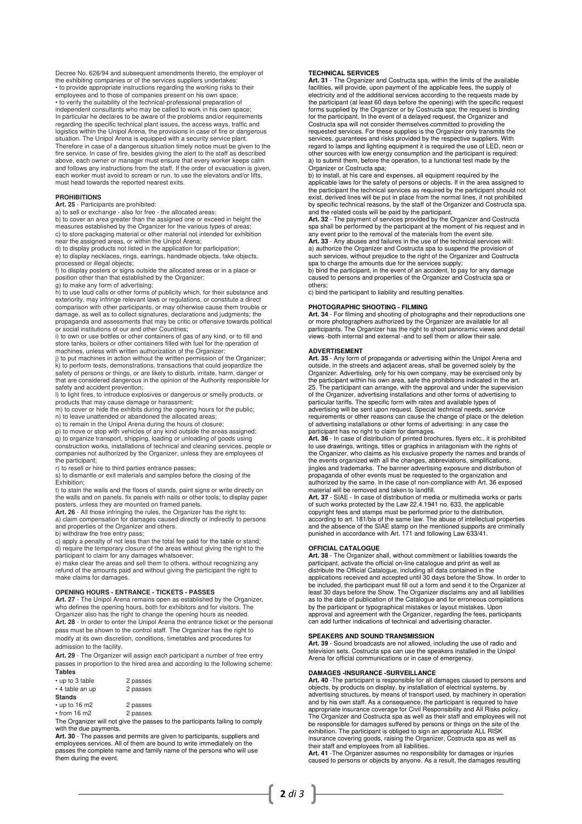Decree No. 626/94 and subsequent amendments thereto, the employer of the exhibiting companies or of the services suppliers undertakes: • to provide appropriate instructions regarding the working risks to their employees and to those of companies present on his own space;<br>• to verify the suitability of the technical-professional preparation of<br>independent consultants who may be called to work in his own space;<br>In particular he de logistics within the Unipol Arena, the provisions in case of fire or dangerous situation. The Unipol Arena is equipped with a security service plant. Therefore in case of a dangerous situation timely notice must be given to the fire service. In case of fire, besides giving the alert to the staff as described above, each owner or manager must ensure that every worker keeps calm and follows any instructions from the staff. If the order of evacuation is given, each worker must avoid to scream or run, to use the elevators and/or lifts, must head towards the reported nearest exits.

## **PROHIBITIONS**

# **Art. 25** - Participants are prohibited:<br>a) to sell or exchange - also for free - the allocated areas;

b) to cover an area greater than the assigned one or exceed in height the measures established by the Organizer for the various types of areas; c) to store packaging material or other material not intended for exhibition near the assigned areas, or within the Unipol Arena;

d) to display products not listed in the application for participation; e) to display necklaces, rings, earrings, handmade objects, fake objects, processed or illegal objects;

f) to display posters or signs outside the allocated areas or in a place or position other than that established by the Organizer;

g) to make any form of advertising;

h) to use loud calls or other forms of publicity which, for their substance and exteriority, may infringe relevant laws or regulations, or constitute a direct comparison with other participants, or may otherwise cause them trouble or damage, as well as to collect signatures, declarations and judgments; the propaganda and assessments that may be critic or offensive towards political or social institutions of our and other Countries;

i) to own or use bottles or other containers of gas of any kind, or to fill and store tanks, boilers or other containers filled with fuel for the operation of machines, unless with written authorization of the Organizer;

j) to put machines in action without the written permission of the Organizer; k) to perform tests, demonstrations, transactions that could jeopardize the safety of persons or things, or are likely to disturb, irritate, harm, danger or that are considered dangerous in the opinion of the Authority responsible for safety and accident prevention;

l) to light fires, to introduce explosives or dangerous or smelly products, or

products that may cause damage or harassment; m) to cover or hide the exhibits during the opening hours for the public;

n) to leave unattended or abandoned the allocated areas; o) to remain in the Unipol Arena during the hours of closure; p) to move or stop with vehicles of any kind outside the areas assigned;

q) to organize transport, shipping, loading or unloading of goods using construction works, installations of technical and cleaning services, people or companies not authorized by the Organizer, unless they are employees of the participant;

r) to resell or hire to third parties entrance passes; s) to dismantle or exit materials and samples before the closing of the Exhibition;

t) to stain the walls and the floors of stands, paint signs or write directly on the walls and on panels, fix panels with nails or other tools; to display paper posters, unless they are mounted on framed panels.

**Art. 26** - All those infringing the rules, the Organizer has the right to: a) claim compensation for damages caused directly or indirectly to persons and properties of the Organizer and others.

b) withdraw the free entry pass; c) apply a penalty of not less than the total fee paid for the table or stand; d) require the temporary closure of the areas without giving the right to the participant to claim for any damages whatsoever; e) make clear the areas and sell them to others, without recognizing any

refund of the amounts paid and without giving the participant the right to make claims for damages.

**OPENING HOURS - ENTRANCE - TICKETS - PASSES Art. 27** - The Unipol Arena remains open as established by the Organizer, who defines the opening hours, both for exhibitors and for visitors. The Organizer also has the right to change the opening hours as needed. **Art. 28** - In order to enter the Unipol Arena the entrance ticket or the personal pass must be shown to the control staff. The Organizer has the right to modify at its own discretion, conditions, timetables and procedures for admission to the facility.

**Art. 29** - The Organizer will assign each participant a number of free entry passes in proportion to the hired area and according to the following scheme: **Tables** 

| • up to 3 table     | 2 passes |
|---------------------|----------|
| • 4 table an up     | 2 passes |
| <b>Stands</b>       |          |
| $\cdot$ up to 16 m2 | 2 passes |

• from 16 m2 2 passes

The Organizer will not give the passes to the participants failing to comply with the due payments.

**Art. 30** - The passes and permits are given to participants, suppliers and employees services. All of them are bound to write immediately on the passes the complete name and family name of the persons who will use them during the event.

#### **TECHNICAL SERVICES**

**Art. 31** - The Organizer and Costructa spa, within the limits of the available facilities, will provide, upon payment of the applicable fees, the supply of electricity and of the additional services according to the requests made by the participant (at least 60 days before the opening) with the specific request forms supplied by the Organizer or by Costructa spa; the request is binding for the participant. In the event of a delayed request, the Organizer and Costructa spa will not consider themselves committed to providing the requested services. For these supplies is the Organizer only transmits the<br>services, guarantees and risks provided by the respective suppliers. With<br>regard to lamps and lighting equipment it is required the use of LED, neo other sources with low energy consumption and the participant is required: a) to submit them, before the operation, to a functional test made by the Organizer or Costructa spa;

b) to install, at his care and expenses, all equipment required by the applicable laws for the safety of persons or objects. If in the area assigned to the participant the technical services as required by the participant should not exist, derived lines will be put in place from the normal lines, if not prohibited by specific technical reasons, by the staff of the Organizer and Costructa spa, and the related costs will be paid by the participant.

**Art. 32** - The payment of services provided by the Organizer and Costructa spa shall be performed by the participant at the moment of his request and in any event prior to the removal of the materials from the event site.

**Art. 33** - Any abuses and failures in the use of the technical services will: a) authorize the Organizer and Costructa spa to suspend the provision of such services, without prejudice to the right of the Organizer and Costructa spa to charge the amounts due for the services supply;

b) bind the participant, in the event of an accident, to pay for any damage caused to persons and properties of the Organizer and Costructa spa or others;

c) bind the participant to liability and resulting penalties.

#### **PHOTOGRAPHIC SHOOTING - FILMING**

**Art. 34** - For filming and shooting of photographs and their reproductions one<br>or more photographers authorized by the Organizer are available for all<br>participants. The Organizer has the right to shoot panoramic views and views -both internal and external -and to sell them or allow their sale.

#### **ADVERTISEMENT**

**Art. 35** - Any form of propaganda or advertising within the Unipol Arena and outside, in the streets and adjacent areas, shall be governed solely by the Organizer. Advertising, only for his own company, may be exercised only by<br>the participant within his own area, safe the prohibitions indicated in the art.<br>25. The participant can arrange, with the approval and under the s of the Organizer, advertising installations and other forms of advertising to particular tariffs. The specific form with rates and available types of advertising will be sent upon request. Special technical needs, service requirements or other reasons can cause the change of place or the deletion of advertising installations or other forms of advertising: in any case the participant has no right to claim for damages.

**Art. 36** - In case of distribution of printed brochures, flyers etc., it is prohibited to use drawings, writings, titles or graphics in antagonism with the rights of the Organizer, who claims as his exclusive property the names and brands of the events organized with all the changes, abbreviations, simplifications, jingles and trademarks. The banner advertising exposure and distribution of propaganda of other events must be requested to the organization and authorized by the same. In the case of non-compliance with Art. 36 expos material will be removed and taken to landfill.

**Art. 37** - SIAE - In case of distribution of media or multimedia works or parts of such works protected by the Law 22.4.1941 no. 633, the applicable copyright fees and stamps must be performed prior to the distribution, according to art. 181/bis of the same law. The abuse of intellectual properties and the absence of the SIAE stamp on the mentioned supports are criminally punished in accordance with Art. 171 and following Law 633/41.

#### **OFFICIAL CATALOGUE**

**Art. 38** - The Organizer shall, without commitment or liabilities towards the participant, activate the official on-line catalogue and print as well as distribute the Official Catalogue, including all data contained in the applications received and accepted until 30 days before the Show. In order to be included, the participant must fill out a form and send it to the Organizer at least 30 days before the Show. The Organizer disclaims any and all liabilities as to the date of publication of the Catalogue and for erroneous compilations by the participant or typographical mistakes or layout mistakes. Upon approval and agreement with the Organizer, regarding the fees, participants can add further indications of technical and advertising character.

#### **SPEAKERS AND SOUND TRANSMISSION**

**Art. 39** - Sound broadcasts are not allowed, including the use of radio and television sets. Costructa spa can use the speakers installed in the Unipol Arena for official communications or in case of emergency.

## **DAMAGES -INSURANCE -SURVEILLANCE**

**Art. 40** -The participant is responsible for all damages caused to persons and<br>objects, by products on display, by installation of electrical systems, by<br>advertising structures, by means of transport used, by machinery in and by his own staff. As a consequence, the participant is required to have<br>appropriate insurance coverage for Civil Responsibility and All Risks policy.<br>The Organizer and Costructa spa as well as their staff and employees be responsible for damages suffered by persons or things on the site of the exhibition. The participant is obliged to sign an appropriate ALL RISK insurance covering goods, raising the Organizer, Costructa spa as well as their staff and employees from all liabilities.

**Art. 41** -The Organizer assumes no responsibility for damages or injuries caused to persons or objects by anyone. As a result, the damages resulting